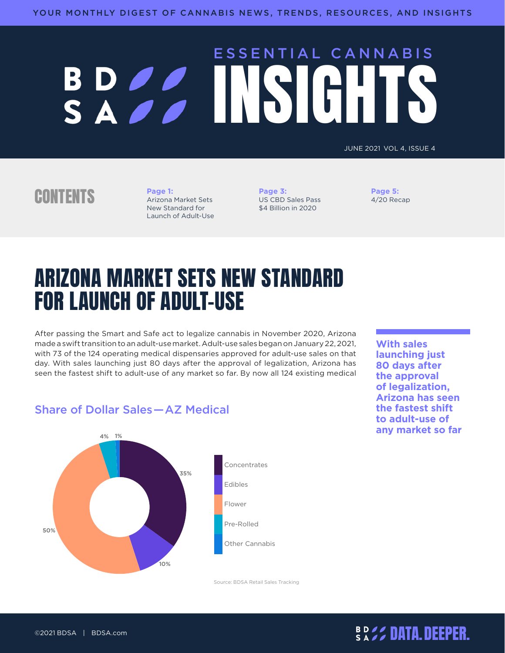# ESSENTIAL CANNABIS BD 22 INSIGHT

JUNE 2021 VOL 4, ISSUE 4

### CONTENTS **Page 1:**

Arizona Market Sets New Standard for Launch of Adult-Use

**[Page 3:](#page-2-0)** [US CBD Sales Pass](#page-2-0)  [\\$4 Billion in 2020](#page-2-0)

**[Page 5:](#page-4-0)** [4/20 Recap](#page-4-0)

# ARIZONA MARKET SETS NEW STANDARD FOR LAUNCH OF ADULT-USE

After passing the Smart and Safe act to legalize cannabis in November 2020, Arizona made a swift transition to an adult-use market. Adult-use sales began on January 22, 2021, with 73 of the 124 operating medical dispensaries approved for adult-use sales on that day. With sales launching just 80 days after the approval of legalization, Arizona has seen the fastest shift to adult-use of any market so far. By now all 124 existing medical

**With sales launching just 80 days after the approval of legalization, Arizona has seen the fastest shift to adult-use of any market so far**

#### Share of Dollar Sales—AZ Medical



Source: BDSA Retail Sales Tracking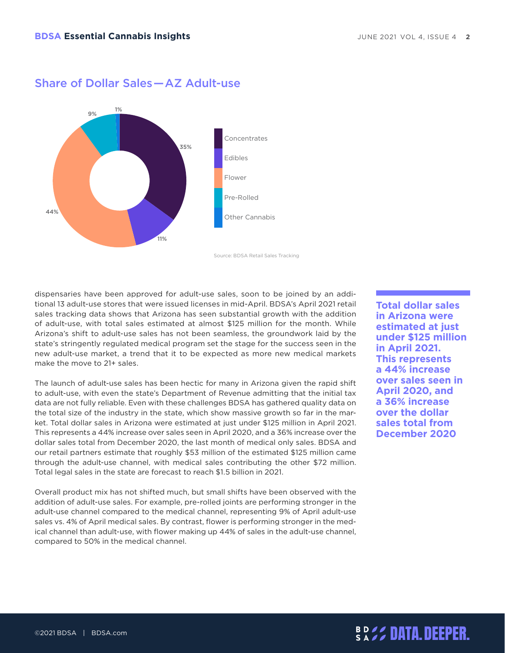

#### Share of Dollar Sales—AZ Adult-use

Source: BDSA Retail Sales Tracking

dispensaries have been approved for adult-use sales, soon to be joined by an additional 13 adult-use stores that were issued licenses in mid-April. BDSA's April 2021 retail sales tracking data shows that Arizona has seen substantial growth with the addition of adult-use, with total sales estimated at almost \$125 million for the month. While Arizona's shift to adult-use sales has not been seamless, the groundwork laid by the state's stringently regulated medical program set the stage for the success seen in the new adult-use market, a trend that it to be expected as more new medical markets make the move to 21+ sales.

The launch of adult-use sales has been hectic for many in Arizona given the rapid shift to adult-use, with even the state's Department of Revenue admitting that the initial tax data are not fully reliable. Even with these challenges BDSA has gathered quality data on the total size of the industry in the state, which show massive growth so far in the market. Total dollar sales in Arizona were estimated at just under \$125 million in April 2021. This represents a 44% increase over sales seen in April 2020, and a 36% increase over the dollar sales total from December 2020, the last month of medical only sales. BDSA and our retail partners estimate that roughly \$53 million of the estimated \$125 million came through the adult-use channel, with medical sales contributing the other \$72 million. Total legal sales in the state are forecast to reach \$1.5 billion in 2021.

Overall product mix has not shifted much, but small shifts have been observed with the addition of adult-use sales. For example, pre-rolled joints are performing stronger in the adult-use channel compared to the medical channel, representing 9% of April adult-use sales vs. 4% of April medical sales. By contrast, flower is performing stronger in the medical channel than adult-use, with flower making up 44% of sales in the adult-use channel, compared to 50% in the medical channel.

**Total dollar sales in Arizona were estimated at just under \$125 million in April 2021. This represents a 44% increase over sales seen in April 2020, and a 36% increase over the dollar sales total from December 2020**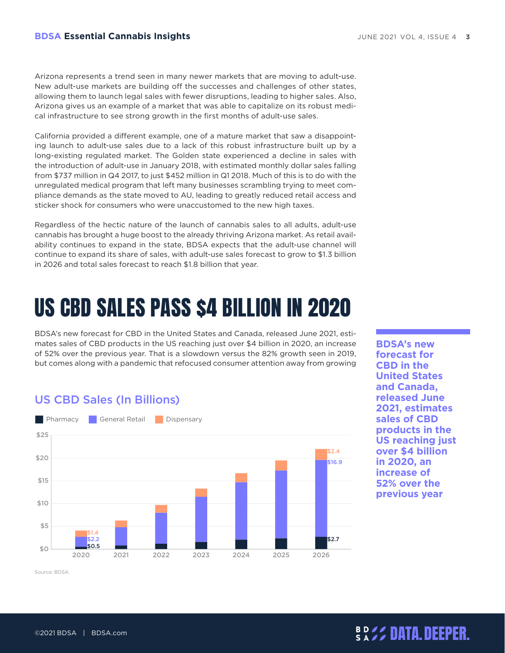<span id="page-2-0"></span>Arizona represents a trend seen in many newer markets that are moving to adult-use. New adult-use markets are building off the successes and challenges of other states, allowing them to launch legal sales with fewer disruptions, leading to higher sales. Also, Arizona gives us an example of a market that was able to capitalize on its robust medical infrastructure to see strong growth in the first months of adult-use sales.

California provided a different example, one of a mature market that saw a disappointing launch to adult-use sales due to a lack of this robust infrastructure built up by a long-existing regulated market. The Golden state experienced a decline in sales with the introduction of adult-use in January 2018, with estimated monthly dollar sales falling from \$737 million in Q4 2017, to just \$452 million in Q1 2018. Much of this is to do with the unregulated medical program that left many businesses scrambling trying to meet compliance demands as the state moved to AU, leading to greatly reduced retail access and sticker shock for consumers who were unaccustomed to the new high taxes.

Regardless of the hectic nature of the launch of cannabis sales to all adults, adult-use cannabis has brought a huge boost to the already thriving Arizona market. As retail availability continues to expand in the state, BDSA expects that the adult-use channel will continue to expand its share of sales, with adult-use sales forecast to grow to \$1.3 billion in 2026 and total sales forecast to reach \$1.8 billion that year.

# US CBD SALES PASS \$4 BILLION IN 2020

BDSA's new forecast for CBD in the United States and Canada, released June 2021, estimates sales of CBD products in the US reaching just over \$4 billion in 2020, an increase of 52% over the previous year. That is a slowdown versus the 82% growth seen in 2019, but comes along with a pandemic that refocused consumer attention away from growing

#### US CBD Sales (In Billions)



**BDSA's new forecast for CBD in the United States and Canada, released June 2021, estimates sales of CBD products in the US reaching just over \$4 billion in 2020, an increase of 52% over the previous year**

Source: BDSA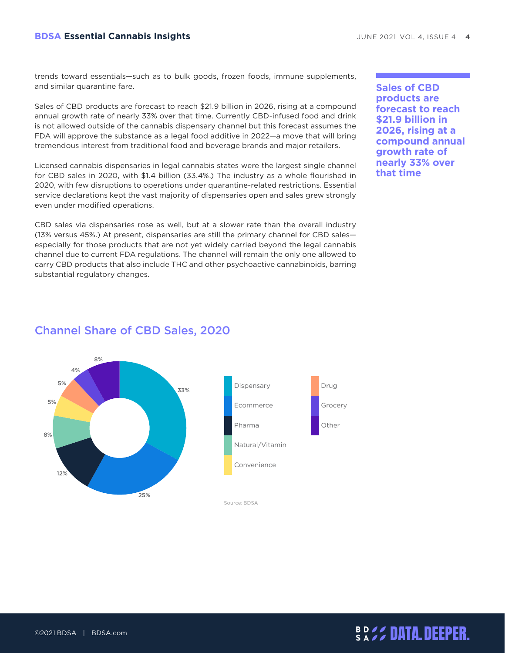#### **BDSA Essential Cannabis Insights JUNE 2021 VOL 4, ISSUE 4 4**

trends toward essentials—such as to bulk goods, frozen foods, immune supplements, and similar quarantine fare.

Sales of CBD products are forecast to reach \$21.9 billion in 2026, rising at a compound annual growth rate of nearly 33% over that time. Currently CBD-infused food and drink is not allowed outside of the cannabis dispensary channel but this forecast assumes the FDA will approve the substance as a legal food additive in 2022—a move that will bring tremendous interest from traditional food and beverage brands and major retailers.

Licensed cannabis dispensaries in legal cannabis states were the largest single channel for CBD sales in 2020, with \$1.4 billion (33.4%.) The industry as a whole flourished in 2020, with few disruptions to operations under quarantine-related restrictions. Essential service declarations kept the vast majority of dispensaries open and sales grew strongly even under modified operations.

CBD sales via dispensaries rose as well, but at a slower rate than the overall industry (13% versus 45%.) At present, dispensaries are still the primary channel for CBD sales especially for those products that are not yet widely carried beyond the legal cannabis channel due to current FDA regulations. The channel will remain the only one allowed to carry CBD products that also include THC and other psychoactive cannabinoids, barring substantial regulatory changes.

**Sales of CBD products are forecast to reach \$21.9 billion in 2026, rising at a compound annual growth rate of nearly 33% over that time**



#### Channel Share of CBD Sales, 2020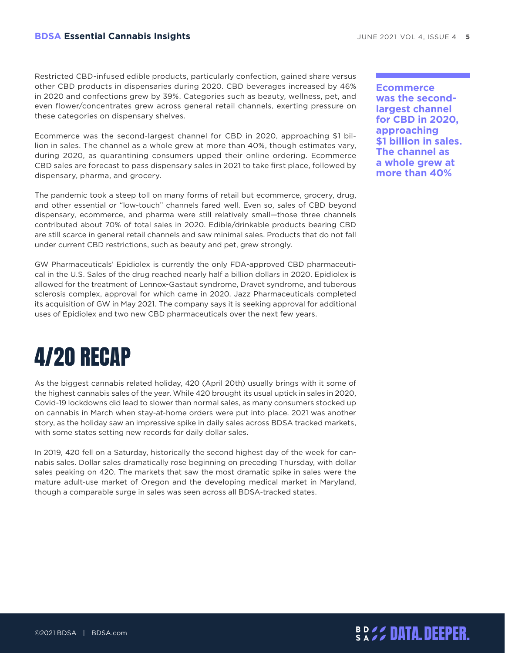<span id="page-4-0"></span>Restricted CBD-infused edible products, particularly confection, gained share versus other CBD products in dispensaries during 2020. CBD beverages increased by 46% in 2020 and confections grew by 39%. Categories such as beauty, wellness, pet, and even flower/concentrates grew across general retail channels, exerting pressure on these categories on dispensary shelves.

Ecommerce was the second-largest channel for CBD in 2020, approaching \$1 billion in sales. The channel as a whole grew at more than 40%, though estimates vary, during 2020, as quarantining consumers upped their online ordering. Ecommerce CBD sales are forecast to pass dispensary sales in 2021 to take first place, followed by dispensary, pharma, and grocery.

The pandemic took a steep toll on many forms of retail but ecommerce, grocery, drug, and other essential or "low-touch" channels fared well. Even so, sales of CBD beyond dispensary, ecommerce, and pharma were still relatively small—those three channels contributed about 70% of total sales in 2020. Edible/drinkable products bearing CBD are still scarce in general retail channels and saw minimal sales. Products that do not fall under current CBD restrictions, such as beauty and pet, grew strongly.

GW Pharmaceuticals' Epidiolex is currently the only FDA-approved CBD pharmaceutical in the U.S. Sales of the drug reached nearly half a billion dollars in 2020. Epidiolex is allowed for the treatment of Lennox-Gastaut syndrome, Dravet syndrome, and tuberous sclerosis complex, approval for which came in 2020. Jazz Pharmaceuticals completed its acquisition of GW in May 2021. The company says it is seeking approval for additional uses of Epidiolex and two new CBD pharmaceuticals over the next few years.

# 4/20 RECAP

As the biggest cannabis related holiday, 420 (April 20th) usually brings with it some of the highest cannabis sales of the year. While 420 brought its usual uptick in sales in 2020, Covid-19 lockdowns did lead to slower than normal sales, as many consumers stocked up on cannabis in March when stay-at-home orders were put into place. 2021 was another story, as the holiday saw an impressive spike in daily sales across BDSA tracked markets, with some states setting new records for daily dollar sales.

In 2019, 420 fell on a Saturday, historically the second highest day of the week for cannabis sales. Dollar sales dramatically rose beginning on preceding Thursday, with dollar sales peaking on 420. The markets that saw the most dramatic spike in sales were the mature adult-use market of Oregon and the developing medical market in Maryland, though a comparable surge in sales was seen across all BDSA-tracked states.

**Ecommerce was the secondlargest channel for CBD in 2020, approaching \$1 billion in sales. The channel as a whole grew at more than 40%**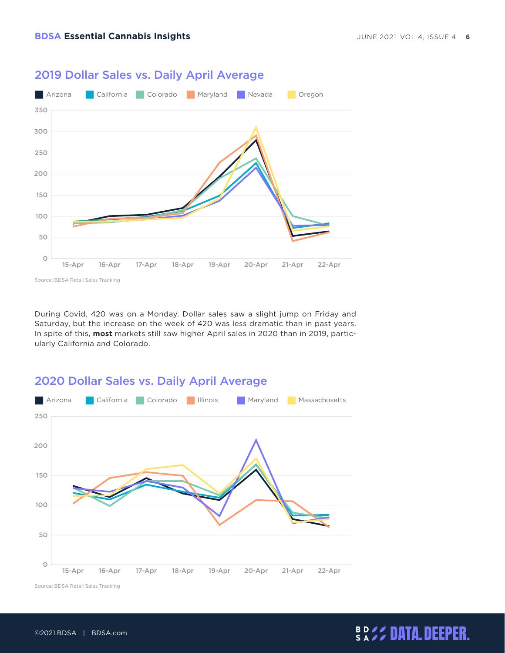

#### 2019 Dollar Sales vs. Daily April Average

Source: BDSA Retail Sales Tracking

During Covid, 420 was on a Monday. Dollar sales saw a slight jump on Friday and Saturday, but the increase on the week of 420 was less dramatic than in past years. In spite of this, **most** markets still saw higher April sales in 2020 than in 2019, particularly California and Colorado.





Source: BDSA Retail Sales Tracking